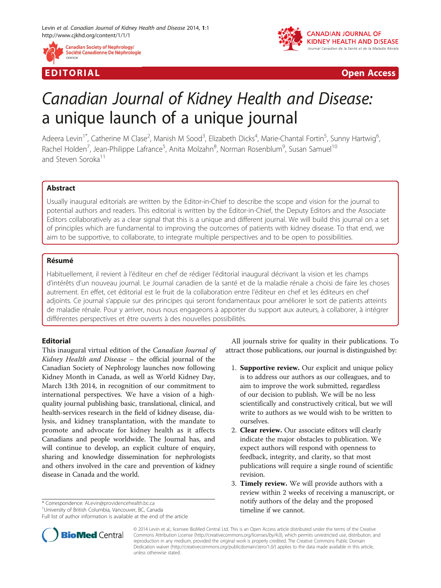



EDI TORIA L Open Access

# Canadian Journal of Kidney Health and Disease: a unique launch of a unique journal

Adeera Levin<sup>1\*</sup>, Catherine M Clase<sup>2</sup>, Manish M Sood<sup>3</sup>, Elizabeth Dicks<sup>4</sup>, Marie-Chantal Fortin<sup>5</sup>, Sunny Hartwig<sup>6</sup> , Rachel Holden<sup>7</sup>, Jean-Philippe Lafrance<sup>5</sup>, Anita Molzahn<sup>8</sup>, Norman Rosenblum<sup>9</sup>, Susan Samuel<sup>10</sup> and Steven Soroka<sup>11</sup>

## Abstract

Usually inaugural editorials are written by the Editor-in-Chief to describe the scope and vision for the journal to potential authors and readers. This editorial is written by the Editor-in-Chief, the Deputy Editors and the Associate Editors collaboratively as a clear signal that this is a unique and different journal. We will build this journal on a set of principles which are fundamental to improving the outcomes of patients with kidney disease. To that end, we aim to be supportive, to collaborate, to integrate multiple perspectives and to be open to possibilities.

## Résumé

Habituellement, il revient à l'éditeur en chef de rédiger l'éditorial inaugural décrivant la vision et les champs d'intérêts d'un nouveau journal. Le Journal canadien de la santé et de la maladie rénale a choisi de faire les choses autrement. En effet, cet éditorial est le fruit de la collaboration entre l'éditeur en chef et les éditeurs en chef adjoints. Ce journal s'appuie sur des principes qui seront fondamentaux pour améliorer le sort de patients atteints de maladie rénale. Pour y arriver, nous nous engageons à apporter du support aux auteurs, à collaborer, à intégrer différentes perspectives et être ouverts à des nouvelles possibilités.

## Editorial

This inaugural virtual edition of the Canadian Journal of Kidney Health and Disease – the official journal of the Canadian Society of Nephrology launches now following Kidney Month in Canada, as well as World Kidney Day, March 13th 2014, in recognition of our commitment to international perspectives. We have a vision of a highquality journal publishing basic, translational, clinical, and health-services research in the field of kidney disease, dialysis, and kidney transplantation, with the mandate to promote and advocate for kidney health as it affects Canadians and people worldwide. The Journal has, and will continue to develop, an explicit culture of enquiry, sharing and knowledge dissemination for nephrologists and others involved in the care and prevention of kidney disease in Canada and the world.

\* Correspondence: [ALevin@providencehealth.bc.ca](mailto:ALevin@providencehealth.bc.ca) <sup>1</sup>

Full list of author information is available at the end of the article



- 1. Supportive review. Our explicit and unique policy is to address our authors as our colleagues, and to aim to improve the work submitted, regardless of our decision to publish. We will be no less scientifically and constructively critical, but we will write to authors as we would wish to be written to ourselves.
- 2. Clear review. Our associate editors will clearly indicate the major obstacles to publication. We expect authors will respond with openness to feedback, integrity, and clarity, so that most publications will require a single round of scientific revision.
- 3. Timely review. We will provide authors with a review within 2 weeks of receiving a manuscript, or notify authors of the delay and the proposed timeline if we cannot.



© 2014 Levin et al.; licensee BioMed Central Ltd. This is an Open Access article distributed under the terms of the Creative Commons Attribution License [\(http://creativecommons.org/licenses/by/4.0\)](http://creativecommons.org/licenses/by/4.0), which permits unrestricted use, distribution, and reproduction in any medium, provided the original work is properly credited. The Creative Commons Public Domain Dedication waiver [\(http://creativecommons.org/publicdomain/zero/1.0/](http://creativecommons.org/publicdomain/zero/1.0/)) applies to the data made available in this article, unless otherwise stated.

<sup>&</sup>lt;sup>1</sup>University of British Columbia, Vancouver, BC, Canada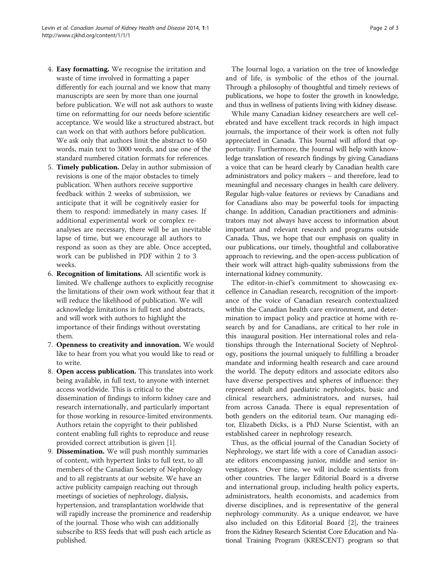- 4. Easy formatting. We recognise the irritation and waste of time involved in formatting a paper differently for each journal and we know that many manuscripts are seen by more than one journal before publication. We will not ask authors to waste time on reformatting for our needs before scientific acceptance. We would like a structured abstract, but can work on that with authors before publication. We ask only that authors limit the abstract to 450 words, main text to 3000 words, and use one of the standard numbered citation formats for references.
- 5. Timely publication. Delay in author submission of revisions is one of the major obstacles to timely publication. When authors receive supportive feedback within 2 weeks of submission, we anticipate that it will be cognitively easier for them to respond: immediately in many cases. If additional experimental work or complex reanalyses are necessary, there will be an inevitable lapse of time, but we encourage all authors to respond as soon as they are able. Once accepted, work can be published in PDF within 2 to 3 weeks.
- 6. Recognition of limitations. All scientific work is limited. We challenge authors to explicitly recognise the limitations of their own work without fear that it will reduce the likelihood of publication. We will acknowledge limitations in full text and abstracts, and will work with authors to highlight the importance of their findings without overstating them.
- 7. Openness to creativity and innovation. We would like to hear from you what you would like to read or to write.
- 8. Open access publication. This translates into work being available, in full text, to anyone with internet access worldwide. This is critical to the dissemination of findings to inform kidney care and research internationally, and particularly important for those working in resource-limited environments. Authors retain the copyright to their published content enabling full rights to reproduce and reuse provided correct attribution is given [\[1](#page-2-0)].
- 9. Dissemination. We will push monthly summaries of content, with hypertext links to full text, to all members of the Canadian Society of Nephrology and to all registrants at our website. We have an active publicity campaign reaching out through meetings of societies of nephrology, dialysis, hypertension, and transplantation worldwide that will rapidly increase the prominence and readership of the journal. Those who wish can additionally subscribe to RSS feeds that will push each article as published.

The Journal logo, a variation on the tree of knowledge and of life, is symbolic of the ethos of the journal. Through a philosophy of thoughtful and timely reviews of publications, we hope to foster the growth in knowledge, and thus in wellness of patients living with kidney disease.

While many Canadian kidney researchers are well celebrated and have excellent track records in high impact journals, the importance of their work is often not fully appreciated in Canada. This Journal will afford that opportunity. Furthermore, the Journal will help with knowledge translation of research findings by giving Canadians a voice that can be heard clearly by Canadian health care administrators and policy makers – and therefore, lead to meaningful and necessary changes in health care delivery. Regular high-value features or reviews by Canadians and for Canadians also may be powerful tools for impacting change. In addition, Canadian practitioners and administrators may not always have access to information about important and relevant research and programs outside Canada. Thus, we hope that our emphasis on quality in our publications, our timely, thoughtful and collaborative approach to reviewing, and the open-access publication of their work will attract high-quality submissions from the international kidney community.

The editor-in-chief's commitment to showcasing excellence in Canadian research, recognition of the importance of the voice of Canadian research contextualized within the Canadian health care environment, and determination to impact policy and practice at home with research by and for Canadians, are critical to her role in this inaugural position. Her international roles and relationships through the International Society of Nephrology, positions the journal uniquely to fulfilling a broader mandate and informing health research and care around the world. The deputy editors and associate editors also have diverse perspectives and spheres of influence: they represent adult and paediatric nephrologists, basic and clinical researchers, administrators, and nurses, hail from across Canada. There is equal representation of both genders on the editorial team. Our managing editor, Elizabeth Dicks, is a PhD Nurse Scientist, with an established career in nephrology research.

Thus, as the official journal of the Canadian Society of Nephrology, we start life with a core of Canadian associate editors encompassing junior, middle and senior investigators. Over time, we will include scientists from other countries. The larger Editorial Board is a diverse and international group, including health policy experts, administrators, health economists, and academics from diverse disciplines, and is representative of the general nephrology community. As a unique endeavor, we have also included on this Editorial Board [[2](#page-2-0)], the trainees from the Kidney Research Scientist Core Education and National Training Program (KRESCENT) program so that